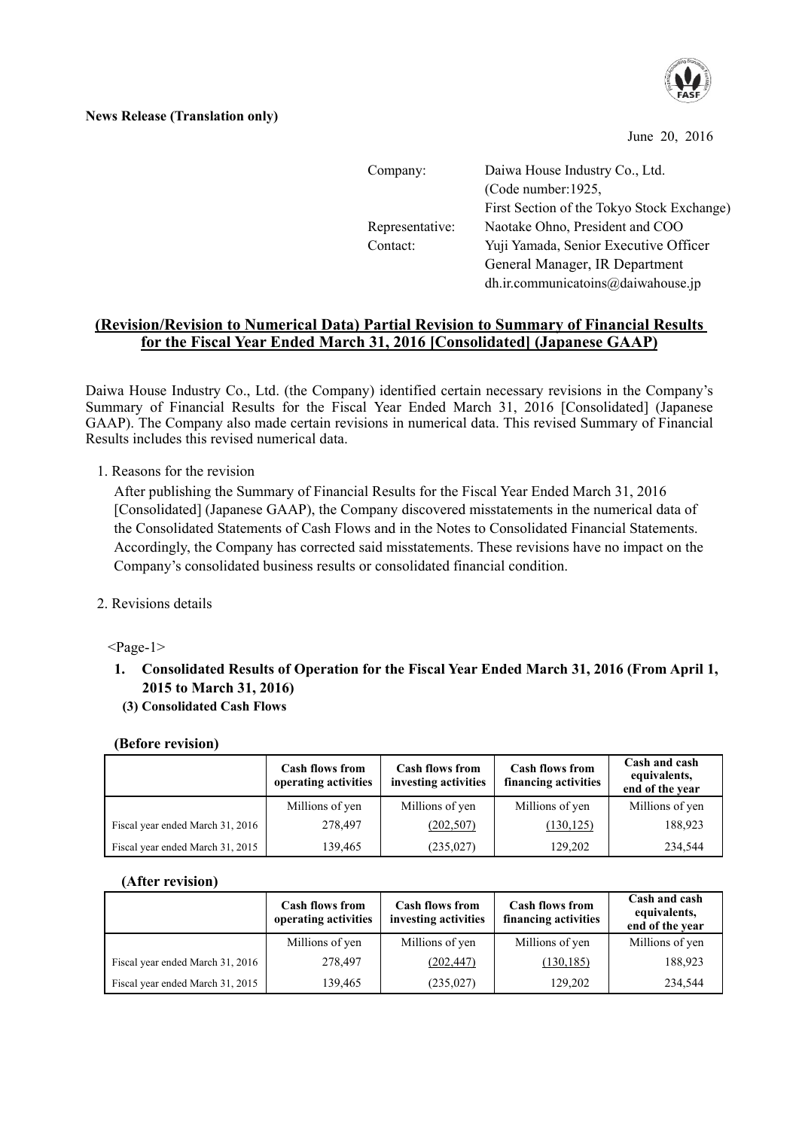

#### **News Release (Translation only)**

June 20, 2016

| Company:        | Daiwa House Industry Co., Ltd.             |
|-----------------|--------------------------------------------|
|                 | (Code number: 1925,                        |
|                 | First Section of the Tokyo Stock Exchange) |
| Representative: | Naotake Ohno, President and COO            |
| Contact:        | Yuji Yamada, Senior Executive Officer      |
|                 | General Manager, IR Department             |
|                 | dh.ir.communicatoins@daiwahouse.jp         |

### **(Revision/Revision to Numerical Data) Partial Revision to Summary of Financial Results for the Fiscal Year Ended March 31, 2016 [Consolidated] (Japanese GAAP)**

Daiwa House Industry Co., Ltd. (the Company) identified certain necessary revisions in the Company's Summary of Financial Results for the Fiscal Year Ended March 31, 2016 [Consolidated] (Japanese GAAP). The Company also made certain revisions in numerical data. This revised Summary of Financial Results includes this revised numerical data.

1. Reasons for the revision

After publishing the Summary of Financial Results for the Fiscal Year Ended March 31, 2016 [Consolidated] (Japanese GAAP), the Company discovered misstatements in the numerical data of the Consolidated Statements of Cash Flows and in the Notes to Consolidated Financial Statements. Accordingly, the Company has corrected said misstatements. These revisions have no impact on the Company's consolidated business results or consolidated financial condition.

2. Revisions details

 $<$ Page-1 $>$ 

**1. Consolidated Results of Operation for the Fiscal Year Ended March 31, 2016 (From April 1, 2015 to March 31, 2016)** 

#### **(3) Consolidated Cash Flows**

#### **(Before revision)**

|                                  | <b>Cash flows from</b><br>operating activities | <b>Cash flows from</b><br>investing activities | <b>Cash flows from</b><br>financing activities | Cash and cash<br>equivalents,<br>end of the year |
|----------------------------------|------------------------------------------------|------------------------------------------------|------------------------------------------------|--------------------------------------------------|
|                                  | Millions of yen                                | Millions of yen                                | Millions of yen                                | Millions of yen                                  |
| Fiscal year ended March 31, 2016 | 278,497                                        | (202, 507)                                     | (130, 125)                                     | 188,923                                          |
| Fiscal year ended March 31, 2015 | 139,465                                        | (235, 027)                                     | 129,202                                        | 234,544                                          |

#### **(After revision)**

|                                  | <b>Cash flows from</b><br>operating activities | <b>Cash flows from</b><br>investing activities | <b>Cash flows from</b><br>financing activities | Cash and cash<br>equivalents,<br>end of the year |
|----------------------------------|------------------------------------------------|------------------------------------------------|------------------------------------------------|--------------------------------------------------|
|                                  | Millions of yen                                | Millions of yen                                | Millions of yen                                | Millions of yen                                  |
| Fiscal year ended March 31, 2016 | 278,497                                        | (202, 447)                                     | (130, 185)                                     | 188,923                                          |
| Fiscal year ended March 31, 2015 | 139,465                                        | (235, 027)                                     | 129,202                                        | 234,544                                          |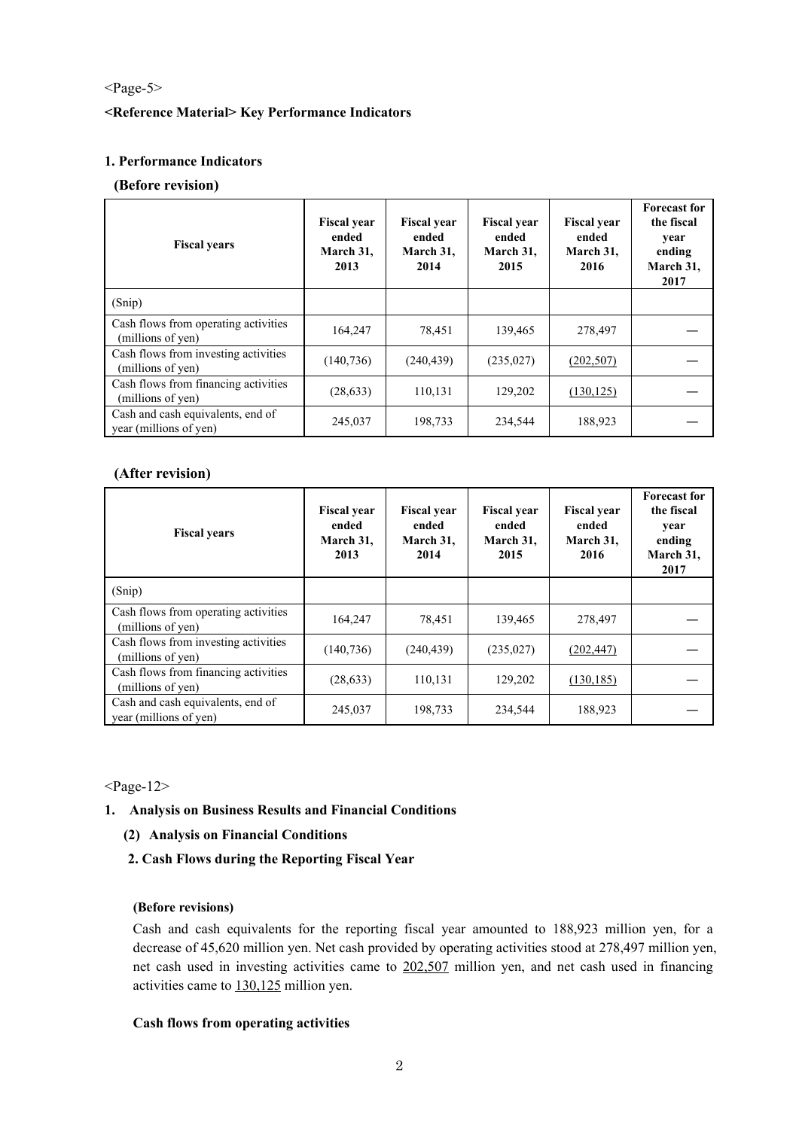#### <Page-5>

#### **<Reference Material> Key Performance Indicators**

#### **1. Performance Indicators**

#### **(Before revision)**

| <b>Fiscal years</b>                                         | <b>Fiscal year</b><br>ended<br>March 31,<br>2013 | <b>Fiscal year</b><br>ended<br>March 31,<br>2014 | <b>Fiscal year</b><br>ended<br>March 31,<br>2015 | <b>Fiscal year</b><br>ended<br>March 31,<br>2016 | <b>Forecast for</b><br>the fiscal<br>year<br>ending<br>March 31,<br>2017 |
|-------------------------------------------------------------|--------------------------------------------------|--------------------------------------------------|--------------------------------------------------|--------------------------------------------------|--------------------------------------------------------------------------|
| (Snip)                                                      |                                                  |                                                  |                                                  |                                                  |                                                                          |
| Cash flows from operating activities<br>(millions of yen)   | 164,247                                          | 78,451                                           | 139,465                                          | 278,497                                          |                                                                          |
| Cash flows from investing activities<br>(millions of yen)   | (140, 736)                                       | (240, 439)                                       | (235, 027)                                       | (202, 507)                                       |                                                                          |
| Cash flows from financing activities<br>(millions of yen)   | (28, 633)                                        | 110,131                                          | 129,202                                          | (130, 125)                                       |                                                                          |
| Cash and cash equivalents, end of<br>year (millions of yen) | 245,037                                          | 198,733                                          | 234,544                                          | 188,923                                          |                                                                          |

#### **(After revision)**

| <b>Fiscal years</b>                                         | <b>Fiscal year</b><br>ended<br>March 31,<br>2013 | <b>Fiscal year</b><br>ended<br>March 31,<br>2014 | <b>Fiscal year</b><br>ended<br>March 31,<br>2015 | <b>Fiscal year</b><br>ended<br>March 31,<br>2016 | <b>Forecast for</b><br>the fiscal<br>year<br>ending<br>March 31,<br>2017 |
|-------------------------------------------------------------|--------------------------------------------------|--------------------------------------------------|--------------------------------------------------|--------------------------------------------------|--------------------------------------------------------------------------|
| (Snip)                                                      |                                                  |                                                  |                                                  |                                                  |                                                                          |
| Cash flows from operating activities<br>(millions of yen)   | 164,247                                          | 78,451                                           | 139,465                                          | 278,497                                          |                                                                          |
| Cash flows from investing activities<br>(millions of yen)   | (140, 736)                                       | (240, 439)                                       | (235, 027)                                       | (202, 447)                                       |                                                                          |
| Cash flows from financing activities<br>(millions of yen)   | (28, 633)                                        | 110,131                                          | 129,202                                          | (130, 185)                                       |                                                                          |
| Cash and cash equivalents, end of<br>year (millions of yen) | 245,037                                          | 198,733                                          | 234,544                                          | 188,923                                          |                                                                          |

 $<$ Page-12 $>$ 

#### **1. Analysis on Business Results and Financial Conditions**

#### **(2) Analysis on Financial Conditions**

**2. Cash Flows during the Reporting Fiscal Year** 

#### **(Before revisions)**

Cash and cash equivalents for the reporting fiscal year amounted to 188,923 million yen, for a decrease of 45,620 million yen. Net cash provided by operating activities stood at 278,497 million yen, net cash used in investing activities came to 202,507 million yen, and net cash used in financing activities came to 130,125 million yen.

#### **Cash flows from operating activities**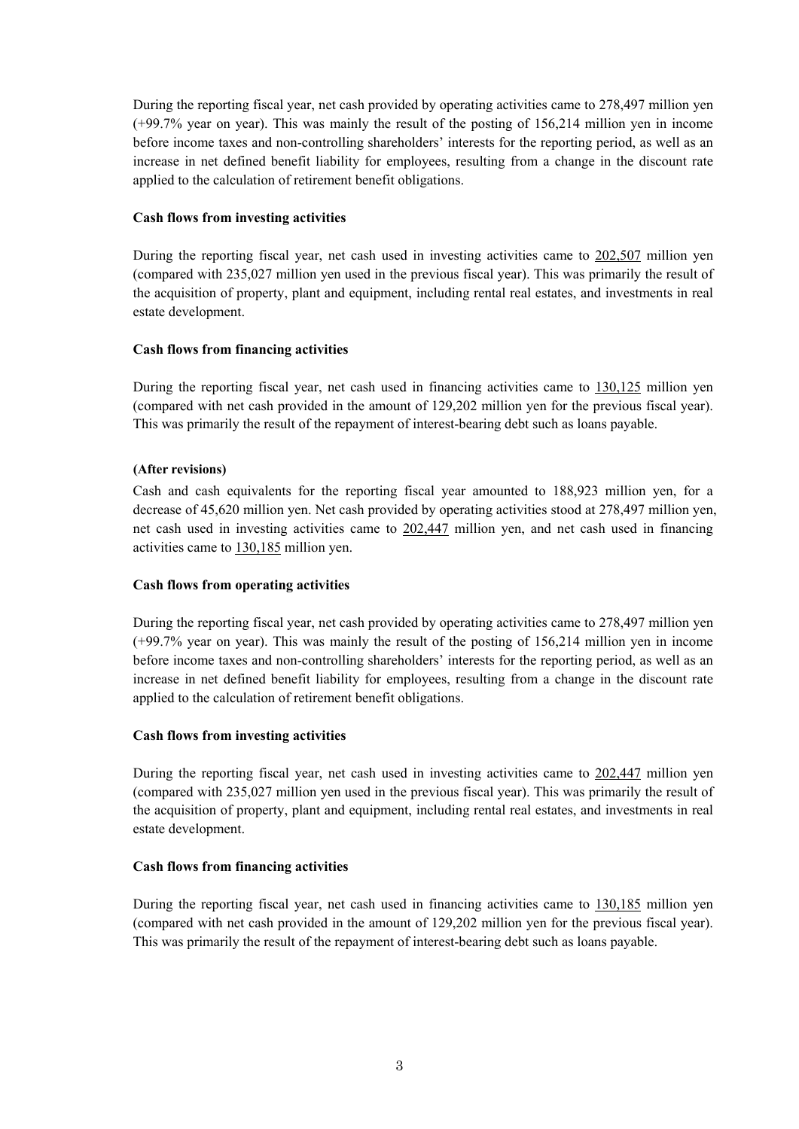During the reporting fiscal year, net cash provided by operating activities came to 278,497 million yen (+99.7% year on year). This was mainly the result of the posting of 156,214 million yen in income before income taxes and non-controlling shareholders' interests for the reporting period, as well as an increase in net defined benefit liability for employees, resulting from a change in the discount rate applied to the calculation of retirement benefit obligations.

#### **Cash flows from investing activities**

During the reporting fiscal year, net cash used in investing activities came to 202,507 million yen (compared with 235,027 million yen used in the previous fiscal year). This was primarily the result of the acquisition of property, plant and equipment, including rental real estates, and investments in real estate development.

#### **Cash flows from financing activities**

During the reporting fiscal year, net cash used in financing activities came to 130,125 million yen (compared with net cash provided in the amount of 129,202 million yen for the previous fiscal year). This was primarily the result of the repayment of interest-bearing debt such as loans payable.

#### **(After revisions)**

Cash and cash equivalents for the reporting fiscal year amounted to 188,923 million yen, for a decrease of 45,620 million yen. Net cash provided by operating activities stood at 278,497 million yen, net cash used in investing activities came to 202,447 million yen, and net cash used in financing activities came to 130,185 million yen.

#### **Cash flows from operating activities**

During the reporting fiscal year, net cash provided by operating activities came to 278,497 million yen (+99.7% year on year). This was mainly the result of the posting of 156,214 million yen in income before income taxes and non-controlling shareholders' interests for the reporting period, as well as an increase in net defined benefit liability for employees, resulting from a change in the discount rate applied to the calculation of retirement benefit obligations.

#### **Cash flows from investing activities**

During the reporting fiscal year, net cash used in investing activities came to 202,447 million yen (compared with 235,027 million yen used in the previous fiscal year). This was primarily the result of the acquisition of property, plant and equipment, including rental real estates, and investments in real estate development.

#### **Cash flows from financing activities**

During the reporting fiscal year, net cash used in financing activities came to 130,185 million yen (compared with net cash provided in the amount of 129,202 million yen for the previous fiscal year). This was primarily the result of the repayment of interest-bearing debt such as loans payable.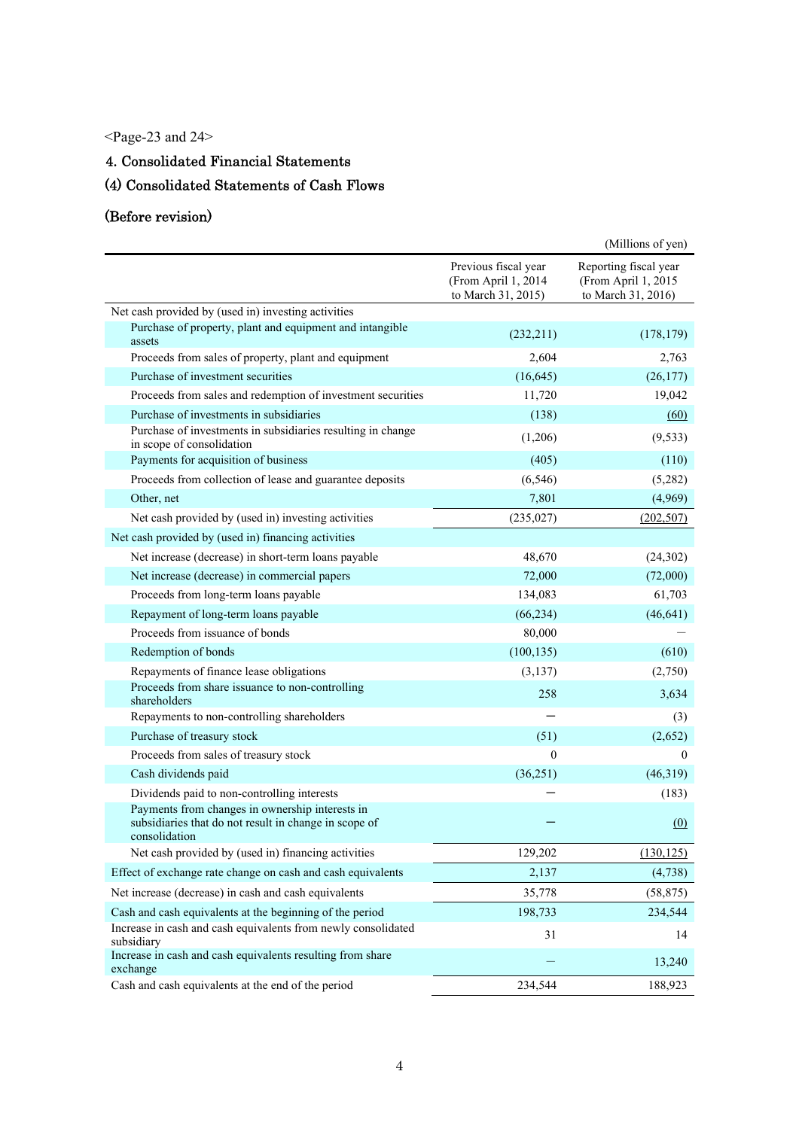<Page-23 and 24>

# 4. Consolidated Financial Statements

# (4) Consolidated Statements of Cash Flows

# (Before revision)

|                                                                                                                           |                                                                   | (Millions of yen)                                                  |
|---------------------------------------------------------------------------------------------------------------------------|-------------------------------------------------------------------|--------------------------------------------------------------------|
|                                                                                                                           | Previous fiscal year<br>(From April 1, 2014<br>to March 31, 2015) | Reporting fiscal year<br>(From April 1, 2015<br>to March 31, 2016) |
| Net cash provided by (used in) investing activities                                                                       |                                                                   |                                                                    |
| Purchase of property, plant and equipment and intangible<br>assets                                                        | (232,211)                                                         | (178, 179)                                                         |
| Proceeds from sales of property, plant and equipment                                                                      | 2,604                                                             | 2,763                                                              |
| Purchase of investment securities                                                                                         | (16, 645)                                                         | (26, 177)                                                          |
| Proceeds from sales and redemption of investment securities                                                               | 11,720                                                            | 19,042                                                             |
| Purchase of investments in subsidiaries                                                                                   | (138)                                                             | (60)                                                               |
| Purchase of investments in subsidiaries resulting in change<br>in scope of consolidation                                  | (1,206)                                                           | (9, 533)                                                           |
| Payments for acquisition of business                                                                                      | (405)                                                             | (110)                                                              |
| Proceeds from collection of lease and guarantee deposits                                                                  | (6, 546)                                                          | (5,282)                                                            |
| Other, net                                                                                                                | 7,801                                                             | (4,969)                                                            |
| Net cash provided by (used in) investing activities                                                                       | (235, 027)                                                        | (202, 507)                                                         |
| Net cash provided by (used in) financing activities                                                                       |                                                                   |                                                                    |
| Net increase (decrease) in short-term loans payable                                                                       | 48,670                                                            | (24, 302)                                                          |
| Net increase (decrease) in commercial papers                                                                              | 72,000                                                            | (72,000)                                                           |
| Proceeds from long-term loans payable                                                                                     | 134,083                                                           | 61,703                                                             |
| Repayment of long-term loans payable                                                                                      | (66, 234)                                                         | (46, 641)                                                          |
| Proceeds from issuance of bonds                                                                                           | 80,000                                                            |                                                                    |
| Redemption of bonds                                                                                                       | (100, 135)                                                        | (610)                                                              |
| Repayments of finance lease obligations                                                                                   | (3, 137)                                                          | (2,750)                                                            |
| Proceeds from share issuance to non-controlling<br>shareholders                                                           | 258                                                               | 3,634                                                              |
| Repayments to non-controlling shareholders                                                                                |                                                                   | (3)                                                                |
| Purchase of treasury stock                                                                                                | (51)                                                              | (2,652)                                                            |
| Proceeds from sales of treasury stock                                                                                     | $\mathbf{0}$                                                      | $\theta$                                                           |
| Cash dividends paid                                                                                                       | (36, 251)                                                         | (46,319)                                                           |
| Dividends paid to non-controlling interests                                                                               |                                                                   | (183)                                                              |
| Payments from changes in ownership interests in<br>subsidiaries that do not result in change in scope of<br>consolidation |                                                                   | (0)                                                                |
| Net cash provided by (used in) financing activities                                                                       | 129,202                                                           | (130, 125)                                                         |
| Effect of exchange rate change on cash and cash equivalents                                                               | 2,137                                                             | (4,738)                                                            |
| Net increase (decrease) in cash and cash equivalents                                                                      | 35,778                                                            | (58, 875)                                                          |
| Cash and cash equivalents at the beginning of the period                                                                  | 198,733                                                           | 234,544                                                            |
| Increase in cash and cash equivalents from newly consolidated<br>subsidiary                                               | 31                                                                | 14                                                                 |
| Increase in cash and cash equivalents resulting from share<br>exchange                                                    |                                                                   | 13,240                                                             |
| Cash and cash equivalents at the end of the period                                                                        | 234,544                                                           | 188,923                                                            |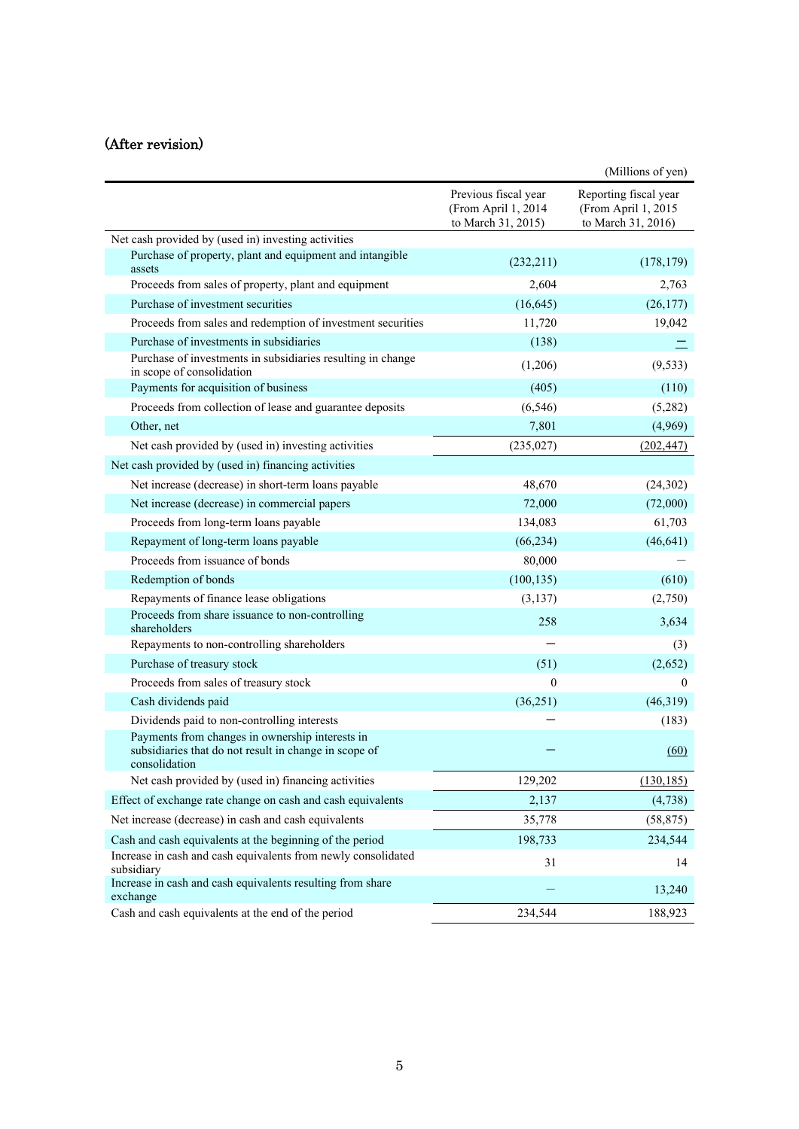# (After revision)

|                                                                                                                           |                                                                   | (Millions of yen)                                                  |
|---------------------------------------------------------------------------------------------------------------------------|-------------------------------------------------------------------|--------------------------------------------------------------------|
|                                                                                                                           | Previous fiscal year<br>(From April 1, 2014<br>to March 31, 2015) | Reporting fiscal year<br>(From April 1, 2015<br>to March 31, 2016) |
| Net cash provided by (used in) investing activities                                                                       |                                                                   |                                                                    |
| Purchase of property, plant and equipment and intangible<br>assets                                                        | (232, 211)                                                        | (178, 179)                                                         |
| Proceeds from sales of property, plant and equipment                                                                      | 2,604                                                             | 2,763                                                              |
| Purchase of investment securities                                                                                         | (16, 645)                                                         | (26, 177)                                                          |
| Proceeds from sales and redemption of investment securities                                                               | 11,720                                                            | 19,042                                                             |
| Purchase of investments in subsidiaries                                                                                   | (138)                                                             |                                                                    |
| Purchase of investments in subsidiaries resulting in change<br>in scope of consolidation                                  | (1,206)                                                           | (9, 533)                                                           |
| Payments for acquisition of business                                                                                      | (405)                                                             | (110)                                                              |
| Proceeds from collection of lease and guarantee deposits                                                                  | (6, 546)                                                          | (5,282)                                                            |
| Other, net                                                                                                                | 7,801                                                             | (4,969)                                                            |
| Net cash provided by (used in) investing activities                                                                       | (235, 027)                                                        | (202, 447)                                                         |
| Net cash provided by (used in) financing activities                                                                       |                                                                   |                                                                    |
| Net increase (decrease) in short-term loans payable                                                                       | 48,670                                                            | (24, 302)                                                          |
| Net increase (decrease) in commercial papers                                                                              | 72,000                                                            | (72,000)                                                           |
| Proceeds from long-term loans payable                                                                                     | 134,083                                                           | 61,703                                                             |
| Repayment of long-term loans payable                                                                                      | (66, 234)                                                         | (46, 641)                                                          |
| Proceeds from issuance of bonds                                                                                           | 80,000                                                            |                                                                    |
| Redemption of bonds                                                                                                       | (100, 135)                                                        | (610)                                                              |
| Repayments of finance lease obligations                                                                                   | (3,137)                                                           | (2,750)                                                            |
| Proceeds from share issuance to non-controlling<br>shareholders                                                           | 258                                                               | 3,634                                                              |
| Repayments to non-controlling shareholders                                                                                |                                                                   | (3)                                                                |
| Purchase of treasury stock                                                                                                | (51)                                                              | (2,652)                                                            |
| Proceeds from sales of treasury stock                                                                                     | $\theta$                                                          | $\mathbf{0}$                                                       |
| Cash dividends paid                                                                                                       | (36,251)                                                          | (46,319)                                                           |
| Dividends paid to non-controlling interests                                                                               |                                                                   | (183)                                                              |
| Payments from changes in ownership interests in<br>subsidiaries that do not result in change in scope of<br>consolidation |                                                                   | (60)                                                               |
| Net cash provided by (used in) financing activities                                                                       | 129,202                                                           | (130, 185)                                                         |
| Effect of exchange rate change on cash and cash equivalents                                                               | 2,137                                                             | (4,738)                                                            |
| Net increase (decrease) in cash and cash equivalents                                                                      | 35,778                                                            | (58, 875)                                                          |
| Cash and cash equivalents at the beginning of the period                                                                  | 198,733                                                           | 234,544                                                            |
| Increase in cash and cash equivalents from newly consolidated<br>subsidiary                                               | 31                                                                | 14                                                                 |
| Increase in cash and cash equivalents resulting from share<br>exchange                                                    |                                                                   | 13,240                                                             |
| Cash and cash equivalents at the end of the period                                                                        | 234,544                                                           | 188,923                                                            |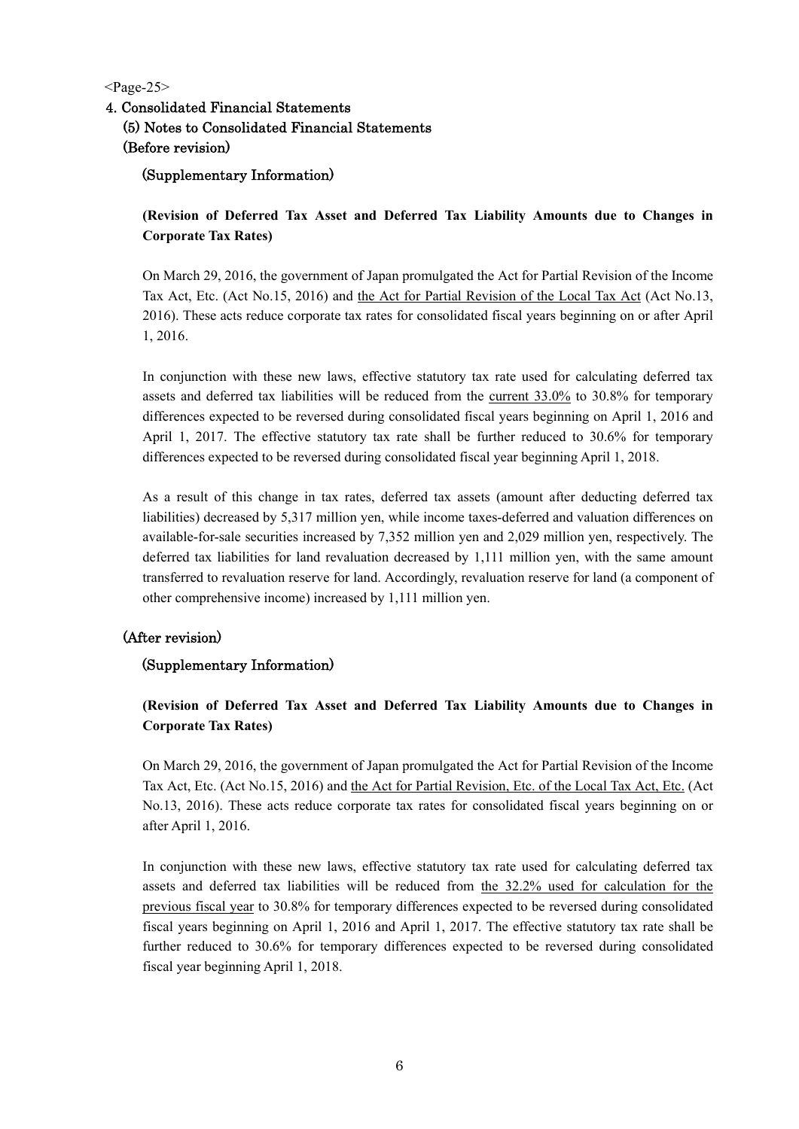$<$ Page-25 $>$ 

# 4. Consolidated Financial Statements (5) Notes to Consolidated Financial Statements (Before revision)

## (Supplementary Information)

**(Revision of Deferred Tax Asset and Deferred Tax Liability Amounts due to Changes in Corporate Tax Rates)** 

On March 29, 2016, the government of Japan promulgated the Act for Partial Revision of the Income Tax Act, Etc. (Act No.15, 2016) and the Act for Partial Revision of the Local Tax Act (Act No.13, 2016). These acts reduce corporate tax rates for consolidated fiscal years beginning on or after April 1, 2016.

In conjunction with these new laws, effective statutory tax rate used for calculating deferred tax assets and deferred tax liabilities will be reduced from the current 33.0% to 30.8% for temporary differences expected to be reversed during consolidated fiscal years beginning on April 1, 2016 and April 1, 2017. The effective statutory tax rate shall be further reduced to 30.6% for temporary differences expected to be reversed during consolidated fiscal year beginning April 1, 2018.

As a result of this change in tax rates, deferred tax assets (amount after deducting deferred tax liabilities) decreased by 5,317 million yen, while income taxes-deferred and valuation differences on available-for-sale securities increased by 7,352 million yen and 2,029 million yen, respectively. The deferred tax liabilities for land revaluation decreased by 1,111 million yen, with the same amount transferred to revaluation reserve for land. Accordingly, revaluation reserve for land (a component of other comprehensive income) increased by 1,111 million yen.

## (After revision)

### (Supplementary Information)

## **(Revision of Deferred Tax Asset and Deferred Tax Liability Amounts due to Changes in Corporate Tax Rates)**

On March 29, 2016, the government of Japan promulgated the Act for Partial Revision of the Income Tax Act, Etc. (Act No.15, 2016) and the Act for Partial Revision, Etc. of the Local Tax Act, Etc. (Act No.13, 2016). These acts reduce corporate tax rates for consolidated fiscal years beginning on or after April 1, 2016.

In conjunction with these new laws, effective statutory tax rate used for calculating deferred tax assets and deferred tax liabilities will be reduced from the 32.2% used for calculation for the previous fiscal year to 30.8% for temporary differences expected to be reversed during consolidated fiscal years beginning on April 1, 2016 and April 1, 2017. The effective statutory tax rate shall be further reduced to 30.6% for temporary differences expected to be reversed during consolidated fiscal year beginning April 1, 2018.